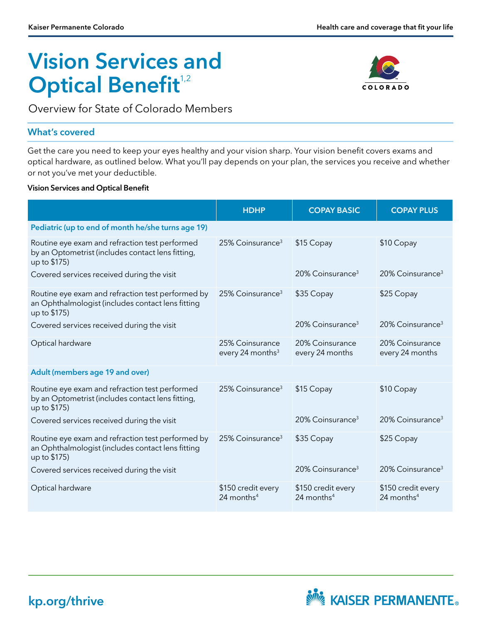# Vision Services and **Optical Benefit**<sup>1,2</sup>



Overview for State of Colorado Members

#### What's covered

Get the care you need to keep your eyes healthy and your vision sharp. Your vision benefit covers exams and optical hardware, as outlined below. What you'll pay depends on your plan, the services you receive and whether or not you've met your deductible.

#### Vision Services and Optical Benefit

|                                                                                                                        | <b>HDHP</b>                                     | <b>COPAY BASIC</b>                             | <b>COPAY PLUS</b>                            |
|------------------------------------------------------------------------------------------------------------------------|-------------------------------------------------|------------------------------------------------|----------------------------------------------|
| Pediatric (up to end of month he/she turns age 19)                                                                     |                                                 |                                                |                                              |
| Routine eye exam and refraction test performed<br>by an Optometrist (includes contact lens fitting,<br>up to \$175)    | 25% Coinsurance <sup>3</sup>                    | \$15 Copay                                     | \$10 Copay                                   |
| Covered services received during the visit                                                                             |                                                 | $20\%$ Coinsurance <sup>3</sup>                | $20\%$ Coinsurance <sup>3</sup>              |
| Routine eye exam and refraction test performed by<br>an Ophthalmologist (includes contact lens fitting<br>up to \$175) | $25\%$ Coinsurance <sup>3</sup>                 | \$35 Copay                                     | \$25 Copay                                   |
| Covered services received during the visit                                                                             |                                                 | $20\%$ Coinsurance <sup>3</sup>                | $20\%$ Coinsurance <sup>3</sup>              |
| Optical hardware                                                                                                       | 25% Coinsurance<br>every 24 months <sup>3</sup> | 20% Coinsurance<br>every 24 months             | 20% Coinsurance<br>every 24 months           |
| Adult (members age 19 and over)                                                                                        |                                                 |                                                |                                              |
| Routine eye exam and refraction test performed<br>by an Optometrist (includes contact lens fitting,<br>up to \$175)    | 25% Coinsurance <sup>3</sup>                    | \$15 Copay                                     | \$10 Copay                                   |
| Covered services received during the visit                                                                             |                                                 | 20% Coinsurance <sup>3</sup>                   | $20\%$ Coinsurance <sup>3</sup>              |
| Routine eye exam and refraction test performed by<br>an Ophthalmologist (includes contact lens fitting<br>up to \$175) | 25% Coinsurance <sup>3</sup>                    | \$35 Copay                                     | \$25 Copay                                   |
| Covered services received during the visit                                                                             |                                                 | $20\%$ Coinsurance <sup>3</sup>                | $20\%$ Coinsurance <sup>3</sup>              |
| Optical hardware                                                                                                       | \$150 credit every<br>24 months <sup>4</sup>    | \$150 credit every<br>$24$ months <sup>4</sup> | \$150 credit every<br>24 months <sup>4</sup> |